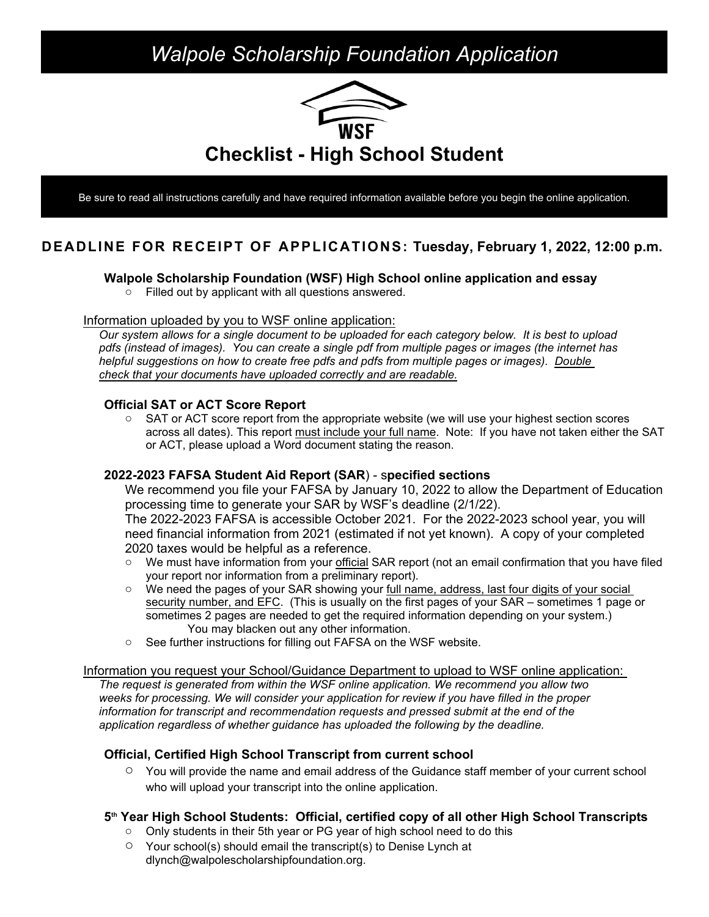# *Walpole Scholarship Foundation Application*



Be sure to read all instructions carefully and have required information available before you begin the online application.

# **DEADLINE FOR RECEIPT OF APPLICATIONS: Tuesday, February 1, 2022, 12:00 p.m.**

### **Walpole Scholarship Foundation (WSF) High School online application and essay**

o Filled out by applicant with all questions answered.

#### Information uploaded by you to WSF online application:

*Our system allows for a single document to be uploaded for each category below. It is best to upload pdfs (instead of images). You can create a single pdf from multiple pages or images (the internet has helpful suggestions on how to create free pdfs and pdfs from multiple pages or images). Double check that your documents have uploaded correctly and are readable.*

#### **Official SAT or ACT Score Report**

 $\circ$  SAT or ACT score report from the appropriate website (we will use your highest section scores across all dates). This report must include your full name. Note: If you have not taken either the SAT or ACT, please upload a Word document stating the reason.

**2022-2023 FAFSA Student Aid Report (SAR**) - s**pecified sections** We recommend you file your FAFSA by January 10, 2022 to allow the Department of Education processing time to generate your SAR by WSF's deadline (2/1/22).

The 2022-2023 FAFSA is accessible October 2021. For the 2022-2023 school year, you will need financial information from 2021 (estimated if not yet known). A copy of your completed 2020 taxes would be helpful as a reference.

- o We must have information from your official SAR report (not an email confirmation that you have filed your report nor information from a preliminary report).
- $\circ$  We need the pages of your SAR showing your full name, address, last four digits of your social security number, and EFC. (This is usually on the first pages of your SAR – sometimes 1 page or sometimes 2 pages are needed to get the required information depending on your system.) You may blacken out any other information.
- o See further instructions for filling out FAFSA on the WSF website.

#### Information you request your School/Guidance Department to upload to WSF online application:

*The request is generated from within the WSF online application. We recommend you allow two weeks for processing. We will consider your application for review if you have filled in the proper information for transcript and recommendation requests and pressed submit at the end of the application regardless of whether guidance has uploaded the following by the deadline.*

# **Official, Certified High School Transcript from current school**

 $\circ$  You will provide the name and email address of the Guidance staff member of your current school who will upload your transcript into the online application.

# **5 th Year High School Students: Official, certified copy of all other High School Transcripts**

- o Only students in their 5th year or PG year of high school need to do this
- $\circ$  Your school(s) should email the transcript(s) to Denise Lynch at dlynch@walpolescholarshipfoundation.org.